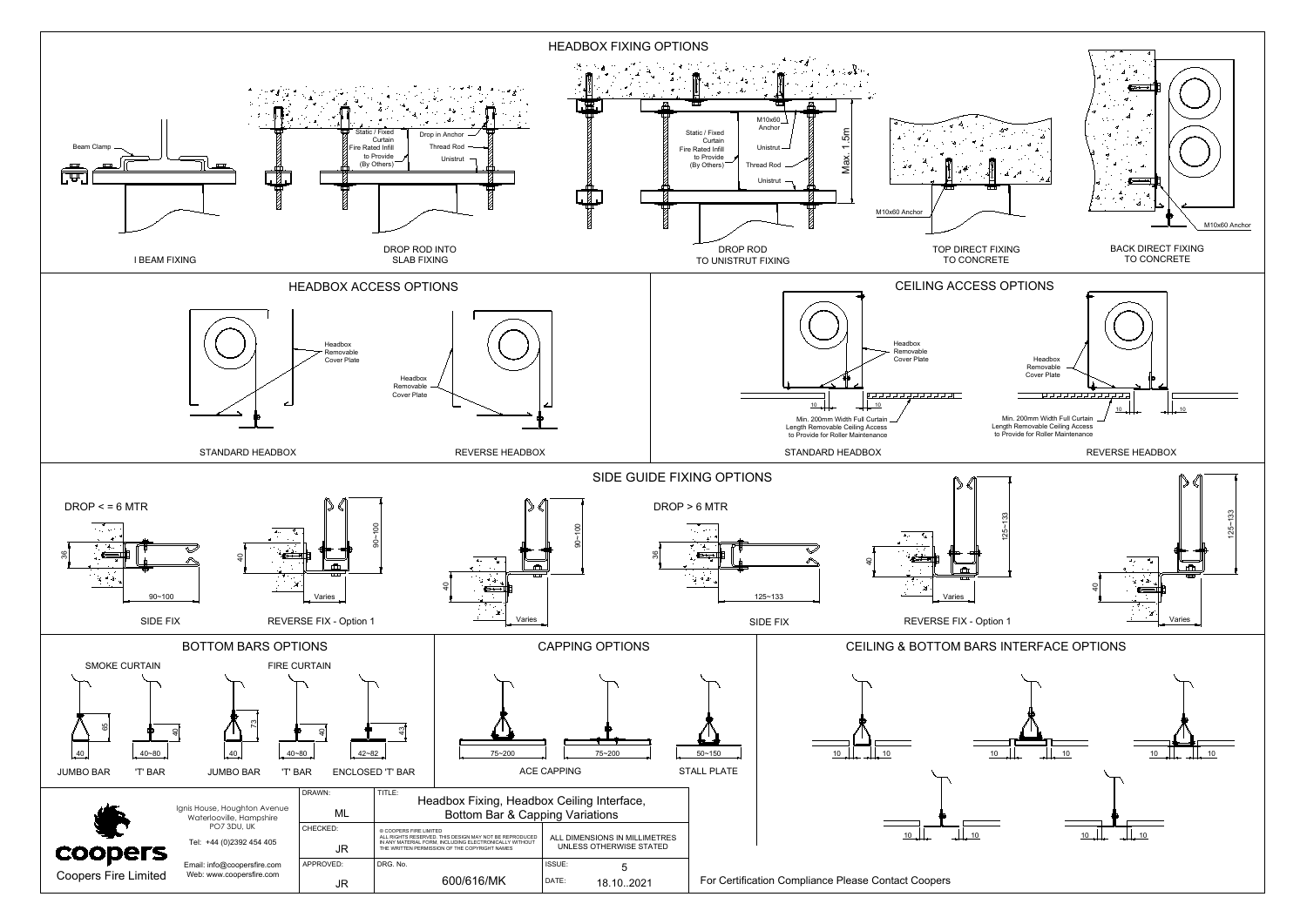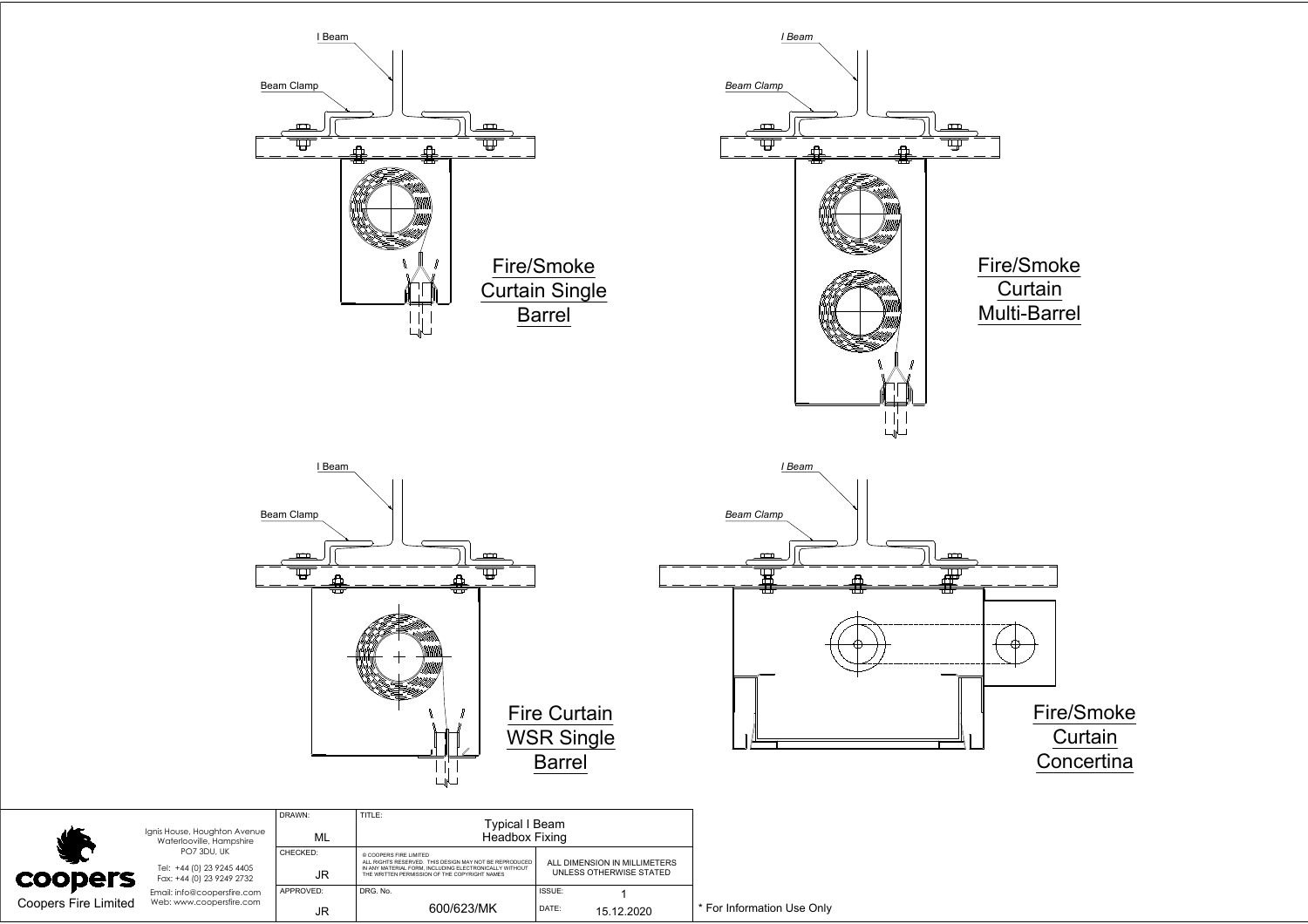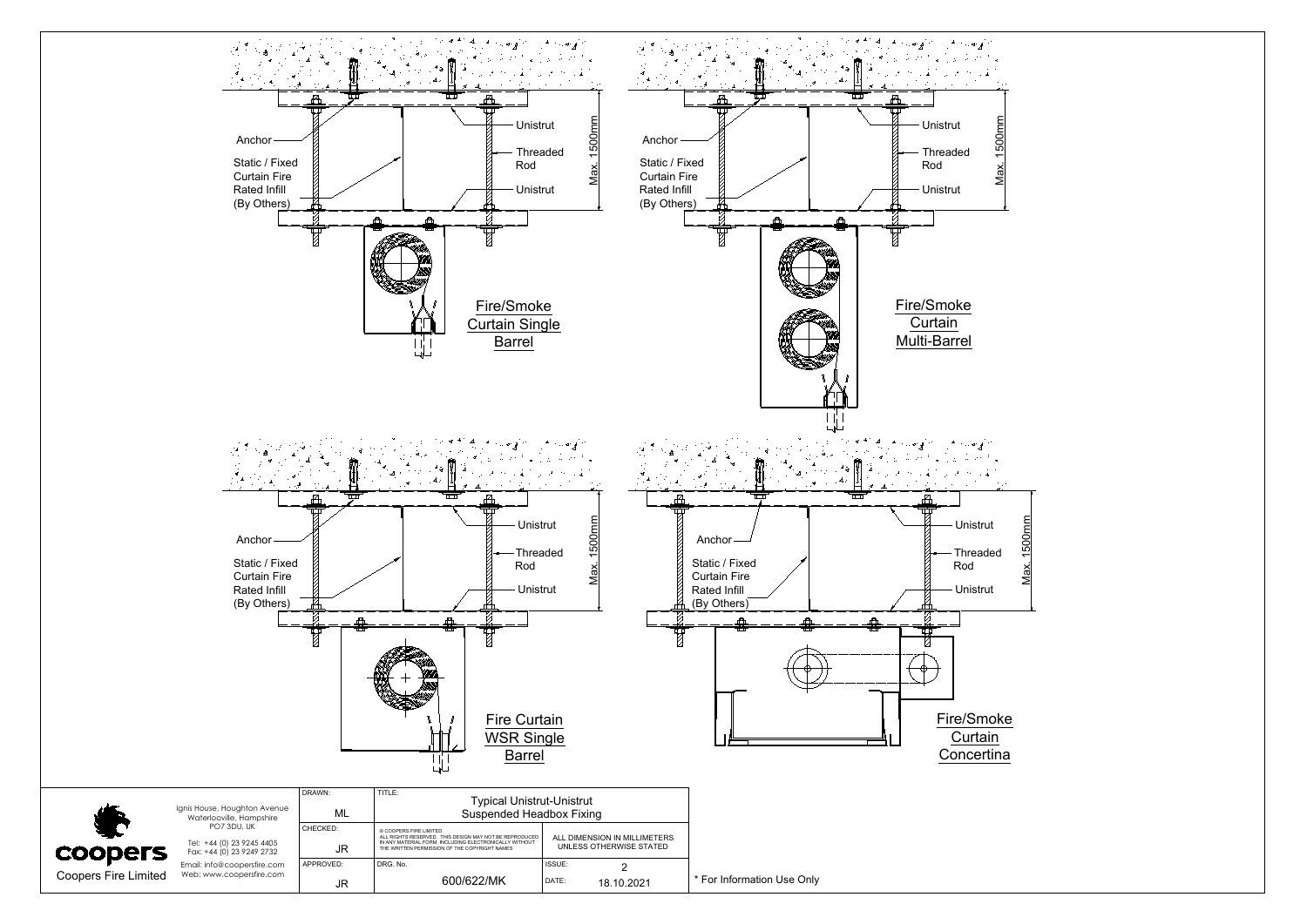

| <b>COODERS</b><br><b>Coopers Fire Limited</b> | Ignis House, Houghton Avenue<br>Waterlooville, Hampshire<br>PO7 3DU, UK<br>Tel: +44 (0) 23 9245 4405<br>Fax: +44 (0) 23 9249 2732<br>Email: info@coopersfire.com<br>Web: www.coopersfire.com | <b>DIAWIN.</b><br>ML | . <u>. .</u> .<br><b>Typical Unistrut-Unistrut</b><br><b>Suspended Headbox Fixing</b>                                                                                                       |                                                         |        |
|-----------------------------------------------|----------------------------------------------------------------------------------------------------------------------------------------------------------------------------------------------|----------------------|---------------------------------------------------------------------------------------------------------------------------------------------------------------------------------------------|---------------------------------------------------------|--------|
|                                               |                                                                                                                                                                                              | CHECKED:<br>JR       | © COOPERS FIRE LIMITED<br>ALL RIGHTS RESERVED. THIS DESIGN MAY NOT BE REPRODUCED<br>IN ANY MATERIAL FORM. INCLUDING ELECTRONICALLY WITHOUT<br>THE WRITTEN PERMISSION OF THE COPYRIGHT NAMES | ALL DIMENSION IN MILLIMETERS<br>UNLESS OTHERWISE STATED |        |
|                                               |                                                                                                                                                                                              | APPROVED:<br>JR      | DRG. No.<br>600/622/MK                                                                                                                                                                      | ISSUE:<br>DATE:<br>18.10.2021                           | $*$ Fo |

For Information Use Only